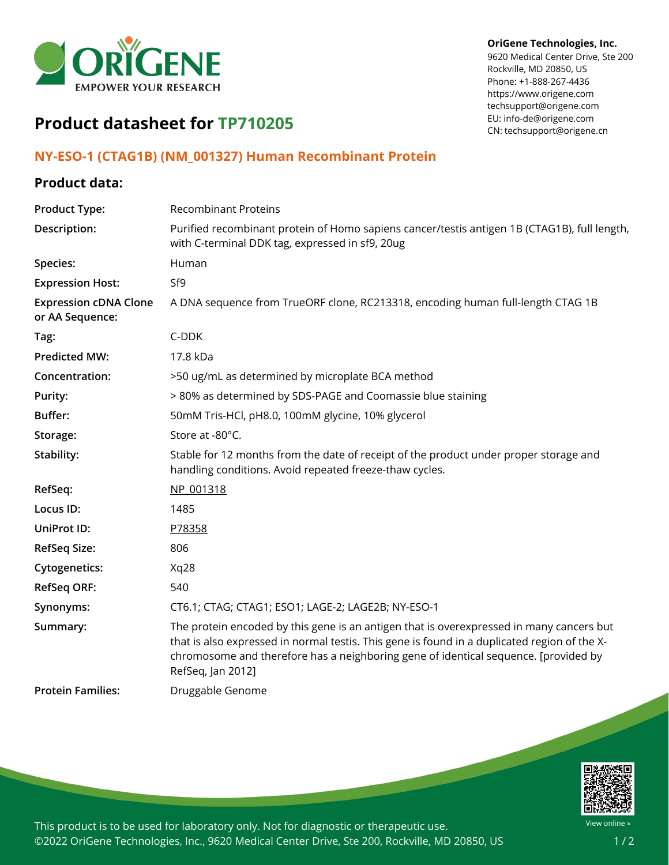

#### **OriGene Technologies, Inc.**

9620 Medical Center Drive, Ste 200 Rockville, MD 20850, US Phone: +1-888-267-4436 https://www.origene.com techsupport@origene.com EU: info-de@origene.com CN: techsupport@origene.cn

# **Product datasheet for TP710205**

#### **NY-ESO-1 (CTAG1B) (NM\_001327) Human Recombinant Protein**

### **Product data:**

| <b>Product Type:</b>                            | <b>Recombinant Proteins</b>                                                                                                                                                                                                                                                                          |
|-------------------------------------------------|------------------------------------------------------------------------------------------------------------------------------------------------------------------------------------------------------------------------------------------------------------------------------------------------------|
| Description:                                    | Purified recombinant protein of Homo sapiens cancer/testis antigen 1B (CTAG1B), full length,<br>with C-terminal DDK tag, expressed in sf9, 20ug                                                                                                                                                      |
| Species:                                        | Human                                                                                                                                                                                                                                                                                                |
| <b>Expression Host:</b>                         | Sf9                                                                                                                                                                                                                                                                                                  |
| <b>Expression cDNA Clone</b><br>or AA Sequence: | A DNA sequence from TrueORF clone, RC213318, encoding human full-length CTAG 1B                                                                                                                                                                                                                      |
| Tag:                                            | C-DDK                                                                                                                                                                                                                                                                                                |
| <b>Predicted MW:</b>                            | 17.8 kDa                                                                                                                                                                                                                                                                                             |
| Concentration:                                  | >50 ug/mL as determined by microplate BCA method                                                                                                                                                                                                                                                     |
| Purity:                                         | > 80% as determined by SDS-PAGE and Coomassie blue staining                                                                                                                                                                                                                                          |
| Buffer:                                         | 50mM Tris-HCl, pH8.0, 100mM glycine, 10% glycerol                                                                                                                                                                                                                                                    |
| Storage:                                        | Store at -80°C.                                                                                                                                                                                                                                                                                      |
| Stability:                                      | Stable for 12 months from the date of receipt of the product under proper storage and<br>handling conditions. Avoid repeated freeze-thaw cycles.                                                                                                                                                     |
| RefSeq:                                         | NP 001318                                                                                                                                                                                                                                                                                            |
| Locus ID:                                       | 1485                                                                                                                                                                                                                                                                                                 |
| UniProt ID:                                     | P78358                                                                                                                                                                                                                                                                                               |
| <b>RefSeq Size:</b>                             | 806                                                                                                                                                                                                                                                                                                  |
| <b>Cytogenetics:</b>                            | Xq28                                                                                                                                                                                                                                                                                                 |
| <b>RefSeq ORF:</b>                              | 540                                                                                                                                                                                                                                                                                                  |
| Synonyms:                                       | CT6.1; CTAG; CTAG1; ESO1; LAGE-2; LAGE2B; NY-ESO-1                                                                                                                                                                                                                                                   |
| Summary:                                        | The protein encoded by this gene is an antigen that is overexpressed in many cancers but<br>that is also expressed in normal testis. This gene is found in a duplicated region of the X-<br>chromosome and therefore has a neighboring gene of identical sequence. [provided by<br>RefSeq, Jan 2012] |
| <b>Protein Families:</b>                        | Druggable Genome                                                                                                                                                                                                                                                                                     |



This product is to be used for laboratory only. Not for diagnostic or therapeutic use. ©2022 OriGene Technologies, Inc., 9620 Medical Center Drive, Ste 200, Rockville, MD 20850, US